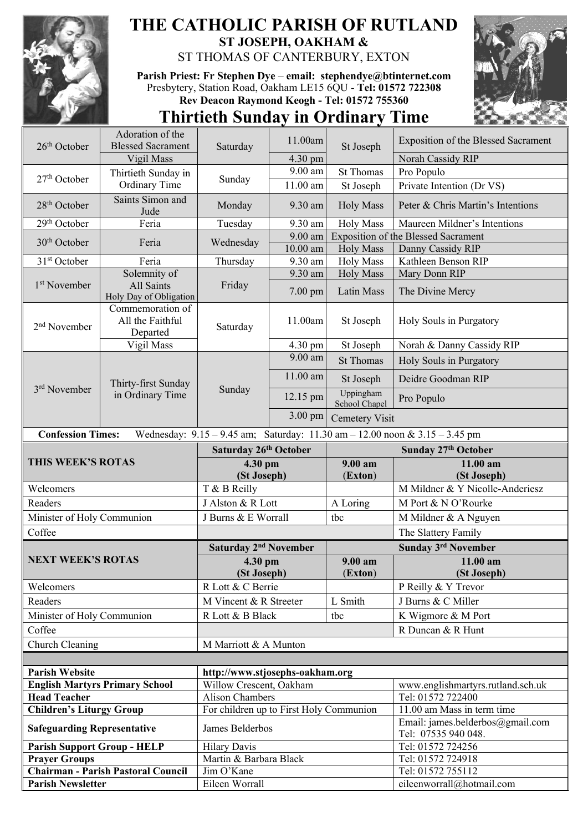

## **THE CATHOLIC PARISH OF RUTLAND ST JOSEPH, OAKHAM &**  ST THOMAS OF CANTERBURY, EXTON

**Parish Priest: Fr Stephen Dye** – **[email: stephendye@btinternet.com](mailto:email:%20%20stephendye@btinternet.com)** Presbytery, Station Road, Oakham LE15 6QU - **Tel: 01572 722308 Rev Deacon Raymond Keogh - Tel: 01572 755360**



## **Thirtieth Sunday in Ordinary Time**

| 26 <sup>th</sup> October                                   | Adoration of the<br><b>Blessed Sacrament</b>     |                                                            | 11.00am  | St Joseph                  | <b>Exposition of the Blessed Sacrament</b>                                          |
|------------------------------------------------------------|--------------------------------------------------|------------------------------------------------------------|----------|----------------------------|-------------------------------------------------------------------------------------|
|                                                            | Vigil Mass                                       | Saturday                                                   | 4.30 pm  |                            | Norah Cassidy RIP                                                                   |
|                                                            | Thirtieth Sunday in                              |                                                            | 9.00 am  | <b>St Thomas</b>           | Pro Populo                                                                          |
| $27th$ October                                             | Ordinary Time                                    | Sunday                                                     | 11.00 am | St Joseph                  | Private Intention (Dr VS)                                                           |
|                                                            | Saints Simon and                                 |                                                            |          |                            |                                                                                     |
| 28 <sup>th</sup> October                                   | Jude                                             | Monday                                                     | 9.30 am  | <b>Holy Mass</b>           | Peter & Chris Martin's Intentions                                                   |
| 29 <sup>th</sup> October                                   | Feria                                            | Tuesday                                                    | 9.30 am  | <b>Holy Mass</b>           | Maureen Mildner's Intentions                                                        |
| 30 <sup>th</sup> October                                   | Feria                                            | Wednesday                                                  | 9.00 am  |                            | Exposition of the Blessed Sacrament                                                 |
|                                                            |                                                  |                                                            | 10.00 am | <b>Holy Mass</b>           | Danny Cassidy RIP                                                                   |
| 31 <sup>st</sup> October                                   | Feria                                            | Thursday                                                   | 9.30 am  | <b>Holy Mass</b>           | Kathleen Benson RIP                                                                 |
| 1 <sup>st</sup> November                                   | Solemnity of<br>All Saints                       | Friday                                                     | 9.30 am  | <b>Holy Mass</b>           | Mary Donn RIP                                                                       |
|                                                            | Holy Day of Obligation                           |                                                            | 7.00 pm  | Latin Mass                 | The Divine Mercy                                                                    |
| 2 <sup>nd</sup> November                                   | Commemoration of<br>All the Faithful<br>Departed | Saturday                                                   | 11.00am  | St Joseph                  | Holy Souls in Purgatory                                                             |
|                                                            | Vigil Mass                                       |                                                            | 4.30 pm  | St Joseph                  | Norah & Danny Cassidy RIP                                                           |
|                                                            | Thirty-first Sunday<br>in Ordinary Time          | Sunday                                                     | 9.00 am  | <b>St Thomas</b>           | Holy Souls in Purgatory                                                             |
| 3rd November                                               |                                                  |                                                            | 11.00 am | St Joseph                  | Deidre Goodman RIP                                                                  |
|                                                            |                                                  |                                                            | 12.15 pm | Uppingham<br>School Chapel | Pro Populo                                                                          |
|                                                            |                                                  |                                                            | 3.00 pm  | <b>Cemetery Visit</b>      |                                                                                     |
| <b>Confession Times:</b>                                   |                                                  |                                                            |          |                            | Wednesday: $9.15 - 9.45$ am; Saturday: $11.30$ am $- 12.00$ noon & $3.15 - 3.45$ pm |
|                                                            |                                                  | Saturday 26th October                                      |          | Sunday 27th October        |                                                                                     |
|                                                            |                                                  |                                                            |          |                            |                                                                                     |
| THIS WEEK'S ROTAS                                          |                                                  | 4.30 pm                                                    |          | 9.00 am                    | 11.00 am                                                                            |
|                                                            |                                                  | (St Joseph)                                                |          | (Exton)                    | (St Joseph)                                                                         |
| Welcomers                                                  |                                                  | T & B Reilly                                               |          |                            | M Mildner & Y Nicolle-Anderiesz                                                     |
| Readers                                                    |                                                  | J Alston & R Lott                                          |          | A Loring                   | M Port & N O'Rourke                                                                 |
| Minister of Holy Communion                                 |                                                  | J Burns & E Worrall                                        |          | tbc                        | M Mildner & A Nguyen                                                                |
| Coffee                                                     |                                                  |                                                            |          |                            | The Slattery Family                                                                 |
|                                                            |                                                  | Saturday 2 <sup>nd</sup> November                          |          |                            | <b>Sunday 3rd November</b>                                                          |
| <b>NEXT WEEK'S ROTAS</b>                                   |                                                  | 4.30 pm                                                    |          | 9.00 am                    | 11.00 am                                                                            |
|                                                            |                                                  | (St Joseph)                                                |          | (Exton)                    | (St Joseph)                                                                         |
| Welcomers                                                  |                                                  | R Lott & C Berrie                                          |          |                            | P Reilly & Y Trevor                                                                 |
| Readers                                                    |                                                  | M Vincent & R Streeter                                     |          | L Smith                    | J Burns & C Miller                                                                  |
| Minister of Holy Communion                                 |                                                  | R Lott & B Black                                           |          | tbc                        | K Wigmore & M Port                                                                  |
| Coffee                                                     |                                                  |                                                            |          |                            | R Duncan & R Hunt                                                                   |
| Church Cleaning                                            |                                                  | M Marriott & A Munton                                      |          |                            |                                                                                     |
|                                                            |                                                  |                                                            |          |                            |                                                                                     |
|                                                            |                                                  |                                                            |          |                            |                                                                                     |
| <b>Parish Website</b>                                      | <b>English Martyrs Primary School</b>            | http://www.stjosephs-oakham.org<br>Willow Crescent, Oakham |          |                            | www.englishmartyrs.rutland.sch.uk                                                   |
| <b>Head Teacher</b>                                        |                                                  | <b>Alison Chambers</b>                                     |          |                            | Tel: 01572 722400                                                                   |
| <b>Children's Liturgy Group</b>                            |                                                  | For children up to First Holy Communion                    |          |                            | 11.00 am Mass in term time                                                          |
| <b>Safeguarding Representative</b>                         |                                                  | James Belderbos                                            |          |                            | Email: james.belderbos@gmail.com                                                    |
|                                                            |                                                  |                                                            |          |                            | Tel: 07535 940 048.                                                                 |
| <b>Parish Support Group - HELP</b><br><b>Prayer Groups</b> |                                                  | <b>Hilary Davis</b><br>Martin & Barbara Black              |          |                            | Tel: 01572 724256<br>Tel: 01572 724918                                              |
|                                                            | <b>Chairman - Parish Pastoral Council</b>        | Jim O'Kane                                                 |          |                            | Tel: 01572 755112                                                                   |